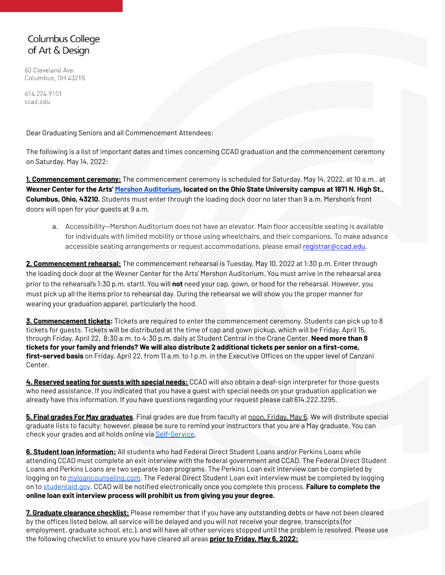# **Columbus College** of Art & Design

60 Cleveland Ave. Columbus, OH 43215

614.224.9101 ccad.edu

Dear Graduating Seniors and all Commencement Attendees:

The following is a list of important dates and times concerning CCAD graduation and the commencement ceremony on Saturday, May 14, 2022:

**1. Commencement ceremony:** The commencement ceremony is scheduled for Saturday, May 14, 2022, at 10 a.m.. at **Wexner Center for the Arts' [Mershon Auditorium,](https://www.osu.edu/map/building.php?building=055) located on the Ohio State University campus at [1871 N. High St.,](https://www.google.com/maps/place/Mershon+Auditorium/@40.000683,-83.0115017,17z/data=!3m1!4b1!4m5!3m4!1s0x88388eb95c14fe53:0x988ef425d5b7d27e!8m2!3d40.000683!4d-83.0093077) Columbus, Ohio, 43210.** Students must enter through the loading dock door no later than 9 a.m. Mershon's front doors will open for your guests at 9 a.m.

a. Accessibility—Mershon Auditorium does not have an elevator. Main floor accessible seating is available for individuals with limited mobility or those using wheelchairs, and their companions. To make advance accessible seating arrangements or request accommodations, please email [registrar@ccad.edu.](mailto:registrar@ccad.edu)

**2. Commencement rehearsal:** The commencement rehearsal is Tuesday, May 10, 2022 at 1:30 p.m. Enter through the loading dock door at the Wexner Center for the Arts' [Mershon Auditorium](https://www.osu.edu/map/building.php?building=055). You must arrive in the rehearsal area prior to the rehearsal's 1:30 p.m. startl. You will **not** need your cap, gown, or hood for the rehearsal. However, you must pick up all the items prior to rehearsal day. During the rehearsal we will show you the proper manner for wearing your graduation apparel, particularly the hood.

**3. Commencement tickets:** Tickets are required to enter the commencement ceremony. Students can pick up to 8 tickets for guests. Tickets will be distributed at the time of cap and gown pickup, which will be Friday, April 15, through Friday, April 22, 8:30 a.m. to 4:30 p.m. daily at Student Central in the Crane Center. **Need more than 8 tickets for your family and friends? We will also distribute 2 additional tickets per senior on a first-come, first-served basis** on Friday, April 22, from 11 a.m. to 1 p.m. in the Executive Offices on the upper level of Canzani Center.

**4. Reserved seating for guests with special needs:** CCAD will also obtain a deaf-sign interpreter for those guests who need assistance. If you indicated that you have a guest with special needs on your graduation application we already have this information. If you have questions regarding your request please call 614.222.3295.

**5. Final grades For May graduates**. Final grades are due from faculty at noon, Friday, May 6. We will distribute special graduate lists to faculty; however, please be sure to remind your instructors that you are a May graduate. You can check your grades and all holds online via [Self-Service.](https://ss.ccad.edu/SelfServ)

**6. Student loan information:** All students who had Federal Direct Student Loans and/or Perkins Loans while attending CCAD must complete an exit interview with the federal government and CCAD. The Federal Direct Student Loans and Perkins Loans are two separate loan programs. The Perkins Loan exit interview can be completed by logging on to [myloancounseling.com](http://www.myloancounseling.com/). The Federal Direct Student Loan exit interview must be completed by logging on to [studentaid.gov](https://studentaid.gov/). CCAD will be notified electronically once you complete this process. **Failure to complete the online loan exit interview process will prohibit us from giving you your degree.**

**7. Graduate clearance checklist:** Please remember that if you have any outstanding debts or have not been cleared by the offices listed below, all service will be delayed and you will not receive your degree, transcripts (for employment, graduate school, etc.), and will have all other services stopped until the problem is resolved. Please use the following checklist to ensure you have cleared all areas **prior to Friday, May 6, 2022:**